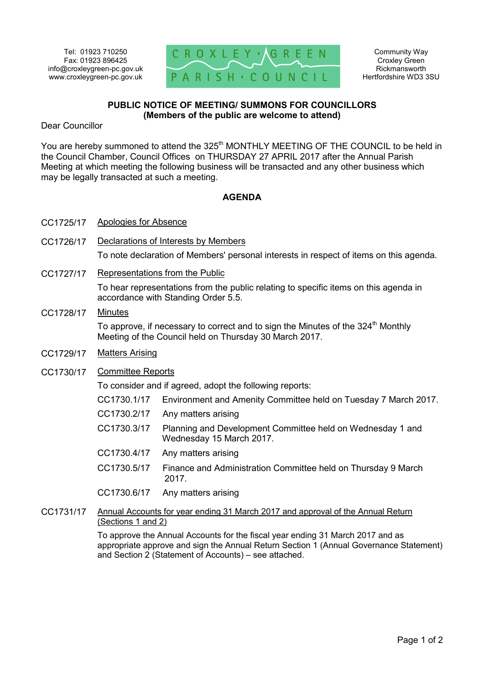

## **PUBLIC NOTICE OF MEETING/ SUMMONS FOR COUNCILLORS (Members of the public are welcome to attend)**

Dear Councillor

You are hereby summoned to attend the 325<sup>th</sup> MONTHLY MEETING OF THE COUNCIL to be held in the Council Chamber, Council Offices on THURSDAY 27 APRIL 2017 after the Annual Parish Meeting at which meeting the following business will be transacted and any other business which may be legally transacted at such a meeting.

## **AGENDA**

- CC1725/17 Apologies for Absence
- CC1726/17 Declarations of Interests by Members To note declaration of Members' personal interests in respect of items on this agenda.
- CC1727/17 Representations from the Public To hear representations from the public relating to specific items on this agenda in accordance with Standing Order 5.5.
- CC1728/17 Minutes To approve, if necessary to correct and to sign the Minutes of the  $324<sup>th</sup>$  Monthly Meeting of the Council held on Thursday 30 March 2017.
- CC1729/17 Matters Arising
- CC1730/17 Committee Reports

To consider and if agreed, adopt the following reports:

| TO consider and if agreed, adopt the following reports. |                                                                                        |
|---------------------------------------------------------|----------------------------------------------------------------------------------------|
| CC1730.1/17                                             | Environment and Amenity Committee held on Tuesday 7 March 2017.                        |
| CC1730.2/17                                             | Any matters arising                                                                    |
| CC1730.3/17                                             | Planning and Development Committee held on Wednesday 1 and<br>Wednesday 15 March 2017. |
| CC1730.4/17                                             | Any matters arising                                                                    |
| CC1730.5/17                                             | Finance and Administration Committee held on Thursday 9 March<br>2017.                 |
|                                                         |                                                                                        |

- CC1730.6/17 Any matters arising
- CC1731/17 Annual Accounts for year ending 31 March 2017 and approval of the Annual Return (Sections 1 and 2)

To approve the Annual Accounts for the fiscal year ending 31 March 2017 and as appropriate approve and sign the Annual Return Section 1 (Annual Governance Statement) and Section 2 (Statement of Accounts) – see attached.